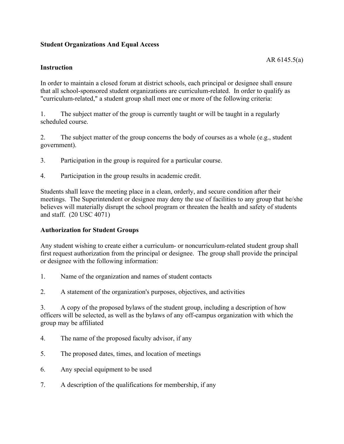# **Student Organizations And Equal Access**

### **Instruction**

In order to maintain a closed forum at district schools, each principal or designee shall ensure that all school-sponsored student organizations are curriculum-related. In order to qualify as "curriculum-related," a student group shall meet one or more of the following criteria:

1. The subject matter of the group is currently taught or will be taught in a regularly scheduled course.

2. The subject matter of the group concerns the body of courses as a whole (e.g., student government).

- 3. Participation in the group is required for a particular course.
- 4. Participation in the group results in academic credit.

Students shall leave the meeting place in a clean, orderly, and secure condition after their meetings. The Superintendent or designee may deny the use of facilities to any group that he/she believes will materially disrupt the school program or threaten the health and safety of students and staff. (20 USC 4071)

## **Authorization for Student Groups**

Any student wishing to create either a curriculum- or noncurriculum-related student group shall first request authorization from the principal or designee. The group shall provide the principal or designee with the following information:

- 1. Name of the organization and names of student contacts
- 2. A statement of the organization's purposes, objectives, and activities

3. A copy of the proposed bylaws of the student group, including a description of how officers will be selected, as well as the bylaws of any off-campus organization with which the group may be affiliated

- 4. The name of the proposed faculty advisor, if any
- 5. The proposed dates, times, and location of meetings
- 6. Any special equipment to be used
- 7. A description of the qualifications for membership, if any